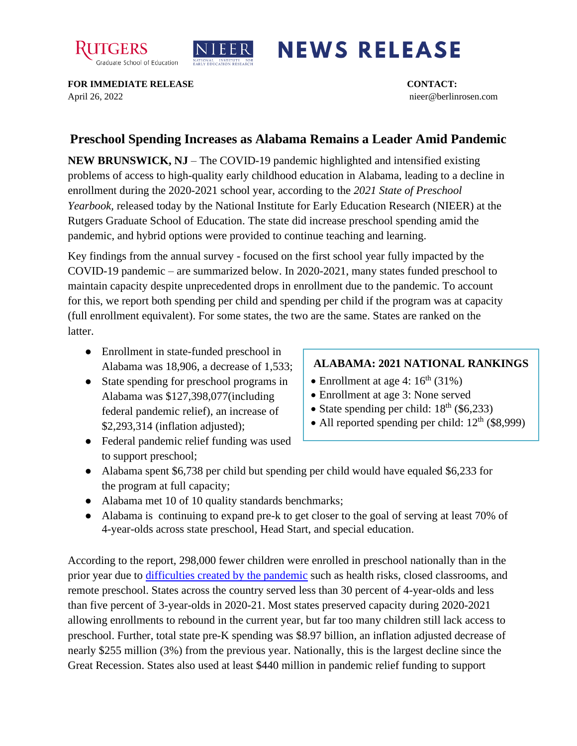



## **NEWS RELEASE**

**FOR IMMEDIATE RELEASE CONTACT:**  April 26, 2022 nieer@berlinrosen.com

## **Preschool Spending Increases as Alabama Remains a Leader Amid Pandemic**

**NEW BRUNSWICK, NJ** – The COVID-19 pandemic highlighted and intensified existing problems of access to high-quality early childhood education in Alabama, leading to a decline in enrollment during the 2020-2021 school year, according to the *2021 State of Preschool Yearbook,* released today by the National Institute for Early Education Research (NIEER) at the Rutgers Graduate School of Education. The state did increase preschool spending amid the pandemic, and hybrid options were provided to continue teaching and learning.

Key findings from the annual survey - focused on the first school year fully impacted by the COVID-19 pandemic – are summarized below. In 2020-2021, many states funded preschool to maintain capacity despite unprecedented drops in enrollment due to the pandemic. To account for this, we report both spending per child and spending per child if the program was at capacity (full enrollment equivalent). For some states, the two are the same. States are ranked on the latter.

- Enrollment in state-funded preschool in Alabama was 18,906, a decrease of 1,533;
- State spending for preschool programs in Alabama was \$127,398,077(including federal pandemic relief), an increase of \$2,293,314 (inflation adjusted);

## **ALABAMA: 2021 NATIONAL RANKINGS**

- Enrollment at age 4:  $16<sup>th</sup>$  (31%)
- Enrollment at age 3: None served
- State spending per child:  $18<sup>th</sup>$  (\$6,233)
- All reported spending per child:  $12<sup>th</sup>$  (\$8,999)
- Federal pandemic relief funding was used to support preschool;
- Alabama spent \$6,738 per child but spending per child would have equaled \$6,233 for the program at full capacity;
- Alabama met 10 of 10 quality standards benchmarks;
- Alabama is continuing to expand pre-k to get closer to the goal of serving at least 70% of 4-year-olds across state preschool, Head Start, and special education.

According to the report, 298,000 fewer children were enrolled in preschool nationally than in the prior year due to [difficulties created by the pandemic](https://nieer.org/wp-content/uploads/2021/02/NIEER_Seven_Impacts_of_the_Pandemic_on_Young_Children_and_their_Parents.pdf) such as health risks, closed classrooms, and remote preschool. States across the country served less than 30 percent of 4-year-olds and less than five percent of 3-year-olds in 2020-21. Most states preserved capacity during 2020-2021 allowing enrollments to rebound in the current year, but far too many children still lack access to preschool. Further, total state pre-K spending was \$8.97 billion, an inflation adjusted decrease of nearly \$255 million (3%) from the previous year. Nationally, this is the largest decline since the Great Recession. States also used at least \$440 million in pandemic relief funding to support